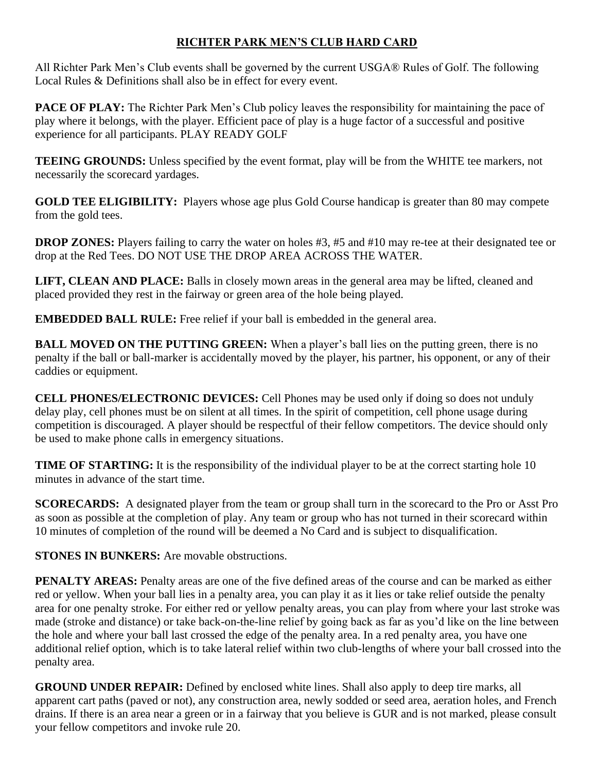## **RICHTER PARK MEN'S CLUB HARD CARD**

All Richter Park Men's Club events shall be governed by the current USGA® Rules of Golf. The following Local Rules & Definitions shall also be in effect for every event.

**PACE OF PLAY:** The Richter Park Men's Club policy leaves the responsibility for maintaining the pace of play where it belongs, with the player. Efficient pace of play is a huge factor of a successful and positive experience for all participants. PLAY READY GOLF

**TEEING GROUNDS:** Unless specified by the event format, play will be from the WHITE tee markers, not necessarily the scorecard yardages.

**GOLD TEE ELIGIBILITY:** Players whose age plus Gold Course handicap is greater than 80 may compete from the gold tees.

**DROP ZONES:** Players failing to carry the water on holes #3, #5 and #10 may re-tee at their designated tee or drop at the Red Tees. DO NOT USE THE DROP AREA ACROSS THE WATER.

**LIFT, CLEAN AND PLACE:** Balls in closely mown areas in the general area may be lifted, cleaned and placed provided they rest in the fairway or green area of the hole being played.

**EMBEDDED BALL RULE:** Free relief if your ball is embedded in the general area.

**BALL MOVED ON THE PUTTING GREEN:** When a player's ball lies on the putting green, there is no penalty if the ball or ball-marker is accidentally moved by the player, his partner, his opponent, or any of their caddies or equipment.

**CELL PHONES/ELECTRONIC DEVICES:** Cell Phones may be used only if doing so does not unduly delay play, cell phones must be on silent at all times. In the spirit of competition, cell phone usage during competition is discouraged. A player should be respectful of their fellow competitors. The device should only be used to make phone calls in emergency situations.

**TIME OF STARTING:** It is the responsibility of the individual player to be at the correct starting hole 10 minutes in advance of the start time.

**SCORECARDS:** A designated player from the team or group shall turn in the scorecard to the Pro or Asst Pro as soon as possible at the completion of play. Any team or group who has not turned in their scorecard within 10 minutes of completion of the round will be deemed a No Card and is subject to disqualification.

**STONES IN BUNKERS:** Are movable obstructions.

**PENALTY AREAS:** Penalty areas are one of the five defined areas of the course and can be marked as either red or yellow. When your ball lies in a penalty area, you can play it as it lies or take relief outside the penalty area for one penalty stroke. For either red or yellow penalty areas, you can play from where your last stroke was made (stroke and distance) or take back-on-the-line relief by going back as far as you'd like on the line between the hole and where your ball last crossed the edge of the penalty area. In a red penalty area, you have one additional relief option, which is to take lateral relief within two club-lengths of where your ball crossed into the penalty area.

**GROUND UNDER REPAIR:** Defined by enclosed white lines. Shall also apply to deep tire marks, all apparent cart paths (paved or not), any construction area, newly sodded or seed area, aeration holes, and French drains. If there is an area near a green or in a fairway that you believe is GUR and is not marked, please consult your fellow competitors and invoke rule 20.